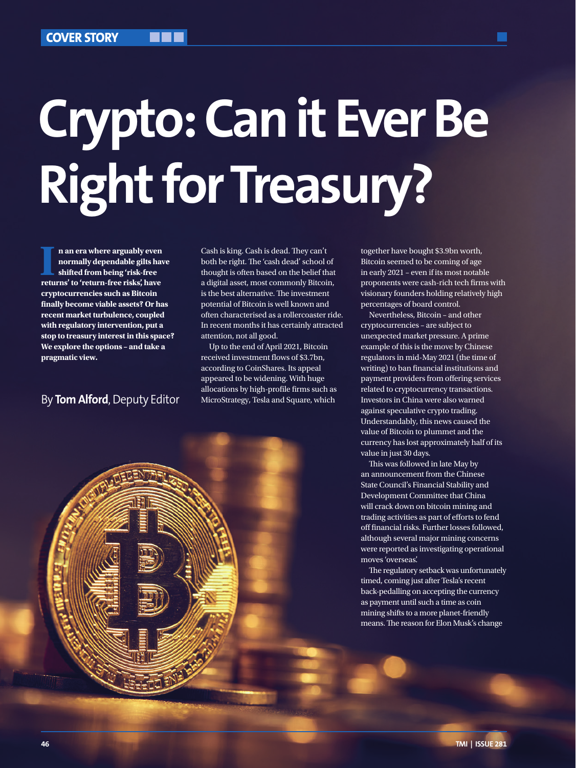# **Crypto: Can it Ever Be Right for Treasury?**

**I n** an era where arguably even normally dependable gilts have shifted from being 'risk-free returns' to 'return-free risks', have **n an era where arguably even normally dependable gilts have shifted from being 'risk-free cryptocurrencies such as Bitcoin finally become viable assets? Or has recent market turbulence, coupled with regulatory intervention, put a stop to treasury interest in this space? We explore the options – and take a pragmatic view.**

# By **Tom Alford**, Deputy Editor

Cash is king. Cash is dead. They can't both be right. The 'cash dead' school of thought is often based on the belief that a digital asset, most commonly Bitcoin, is the best alternative. The investment potential of Bitcoin is well known and often characterised as a rollercoaster ride. In recent months it has certainly attracted attention, not all good.

Up to the end of April 2021, Bitcoin received investment flows of \$3.7bn, according to CoinShares. Its appeal appeared to be widening. With huge allocations by high-profile firms such as MicroStrategy, Tesla and Square, which

together have bought \$3.9bn worth, Bitcoin seemed to be coming of age in early 2021 – even if its most notable proponents were cash-rich tech firms with visionary founders holding relatively high percentages of board control.

Nevertheless, Bitcoin – and other cryptocurrencies – are subject to unexpected market pressure. A prime example of this is the move by Chinese regulators in mid-May 2021 (the time of writing) to ban financial institutions and payment providers from offering services related to cryptocurrency transactions. Investors in China were also warned against speculative crypto trading. Understandably, this news caused the value of Bitcoin to plummet and the currency has lost approximately half of its value in just 30 days.

This was followed in late May by an announcement from the Chinese State Council's Financial Stability and Development Committee that China will crack down on bitcoin mining and trading activities as part of efforts to fend off financial risks. Further losses followed, although several major mining concerns were reported as investigating operational moves 'overseas'.

The regulatory setback was unfortunately timed, coming just after Tesla's recent back-pedalling on accepting the currency as payment until such a time as coin mining shifts to a more planet-friendly means. The reason for Elon Musk's change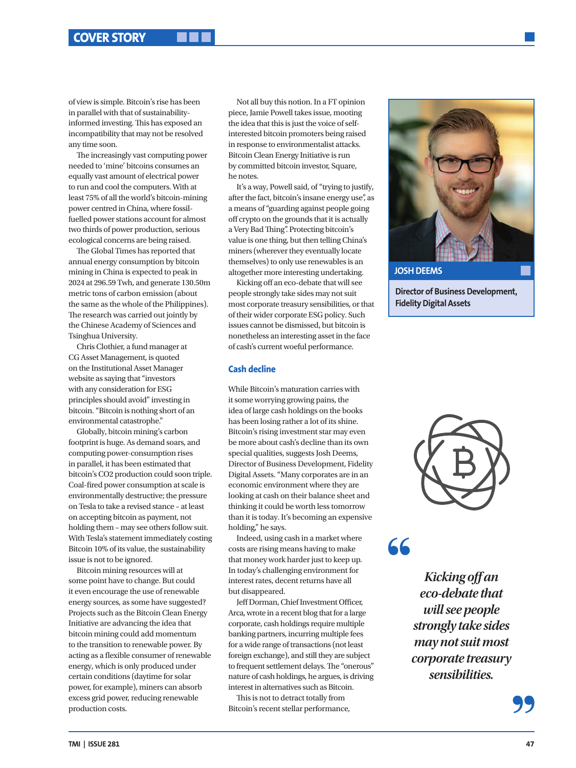of view is simple. Bitcoin's rise has been in parallel with that of sustainabilityinformed investing. This has exposed an incompatibility that may not be resolved any time soon.

The increasingly vast computing power needed to 'mine' bitcoins consumes an equally vast amount of electrical power to run and cool the computers. With at least 75% of all the world's bitcoin-mining power centred in China, where fossilfuelled power stations account for almost two thirds of power production, serious ecological concerns are being raised.

The Global Times has reported that annual energy consumption by bitcoin mining in China is expected to peak in 2024 at 296.59 Twh, and generate 130.50m metric tons of carbon emission (about the same as the whole of the Philippines). The research was carried out jointly by the Chinese Academy of Sciences and Tsinghua University.

Chris Clothier, a fund manager at CG Asset Management, is quoted on the Institutional Asset Manager website as saying that "investors with any consideration for ESG principles should avoid" investing in bitcoin. "Bitcoin is nothing short of an environmental catastrophe."

Globally, bitcoin mining's carbon footprint is huge. As demand soars, and computing power-consumption rises in parallel, it has been estimated that bitcoin's CO2 production could soon triple. Coal-fired power consumption at scale is environmentally destructive; the pressure on Tesla to take a revised stance – at least on accepting bitcoin as payment, not holding them – may see others follow suit. With Tesla's statement immediately costing Bitcoin 10% of its value, the sustainability issue is not to be ignored.

Bitcoin mining resources will at some point have to change. But could it even encourage the use of renewable energy sources, as some have suggested? Projects such as the Bitcoin Clean Energy Initiative are advancing the idea that bitcoin mining could add momentum to the transition to renewable power. By acting as a flexible consumer of renewable energy, which is only produced under certain conditions (daytime for solar power, for example), miners can absorb excess grid power, reducing renewable production costs.

Not all buy this notion. In a FT opinion piece, Jamie Powell takes issue, mooting the idea that this is just the voice of selfinterested bitcoin promoters being raised in response to environmentalist attacks. Bitcoin Clean Energy Initiative is run by committed bitcoin investor, Square, he notes.

It's a way, Powell said, of "trying to justify, after the fact, bitcoin's insane energy use", as a means of "guarding against people going off crypto on the grounds that it is actually a Very Bad Thing". Protecting bitcoin's value is one thing, but then telling China's miners (wherever they eventually locate themselves) to only use renewables is an altogether more interesting undertaking.

Kicking off an eco-debate that will see people strongly take sides may not suit most corporate treasury sensibilities, or that of their wider corporate ESG policy. Such issues cannot be dismissed, but bitcoin is nonetheless an interesting asset in the face of cash's current woeful performance.

# **Cash decline**

While Bitcoin's maturation carries with it some worrying growing pains, the idea of large cash holdings on the books has been losing rather a lot of its shine. Bitcoin's rising investment star may even be more about cash's decline than its own special qualities, suggests Josh Deems, Director of Business Development, Fidelity Digital Assets. "Many corporates are in an economic environment where they are looking at cash on their balance sheet and thinking it could be worth less tomorrow than it is today. It's becoming an expensive holding," he says.

Indeed, using cash in a market where costs are rising means having to make that money work harder just to keep up. In today's challenging environment for interest rates, decent returns have all but disappeared.

Jeff Dorman, Chief Investment Officer, Arca, wrote in a recent blog that for a large corporate, cash holdings require multiple banking partners, incurring multiple fees for a wide range of transactions (not least foreign exchange), and still they are subject to frequent settlement delays. The "onerous" nature of cash holdings, he argues, is driving interest in alternatives such as Bitcoin.

This is not to detract totally from Bitcoin's recent stellar performance,



**Director of Business Development, Fidelity Digital Assets**



66

*Kicking off an eco-debate that will see people strongly take sides may not suit most corporate treasury sensibilities.*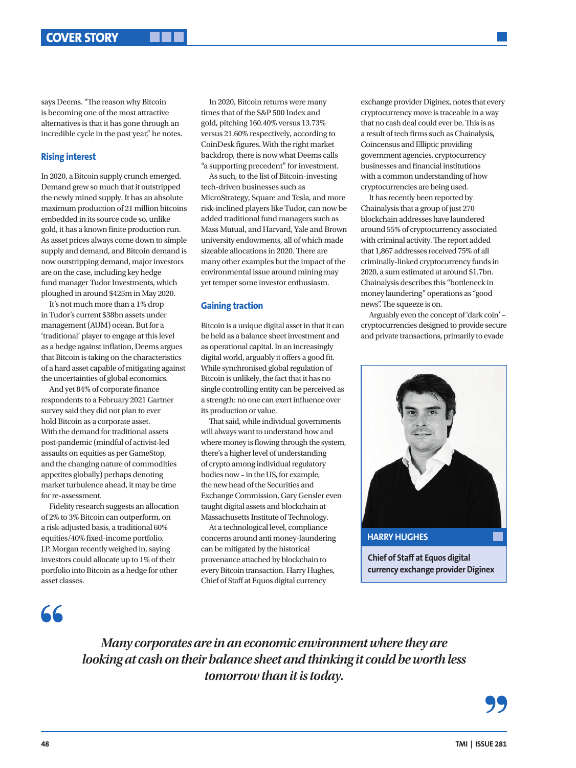says Deems. "The reason why Bitcoin is becoming one of the most attractive alternatives is that it has gone through an incredible cycle in the past year," he notes.

### **Rising interest**

In 2020, a Bitcoin supply crunch emerged. Demand grew so much that it outstripped the newly mined supply. It has an absolute maximum production of 21 million bitcoins embedded in its source code so, unlike gold, it has a known finite production run. As asset prices always come down to simple supply and demand, and Bitcoin demand is now outstripping demand, major investors are on the case, including key hedge fund manager Tudor Investments, which ploughed in around \$425m in May 2020.

It's not much more than a 1% drop in Tudor's current \$38bn assets under management (AUM) ocean. But for a 'traditional' player to engage at this level as a hedge against inflation, Deems argues that Bitcoin is taking on the characteristics of a hard asset capable of mitigating against the uncertainties of global economics.

And yet 84% of corporate finance respondents to a February 2021 Gartner survey said they did not plan to ever hold Bitcoin as a corporate asset. With the demand for traditional assets post-pandemic (mindful of activist-led assaults on equities as per GameStop, and the changing nature of commodities appetites globally) perhaps denoting market turbulence ahead, it may be time for re-assessment.

Fidelity research suggests an allocation of 2% to 3% Bitcoin can outperform, on a risk-adjusted basis, a traditional 60% equities/40% fixed-income portfolio. J.P. Morgan recently weighed in, saying investors could allocate up to 1% of their portfolio into Bitcoin as a hedge for other asset classes.

In 2020, Bitcoin returns were many times that of the S&P 500 Index and gold, pitching 160.40% versus 13.73% versus 21.60% respectively, according to CoinDesk figures. With the right market backdrop, there is now what Deems calls "a supporting precedent" for investment.

As such, to the list of Bitcoin-investing tech-driven businesses such as MicroStrategy, Square and Tesla, and more risk-inclined players like Tudor, can now be added traditional fund managers such as Mass Mutual, and Harvard, Yale and Brown university endowments, all of which made sizeable allocations in 2020. There are many other examples but the impact of the environmental issue around mining may yet temper some investor enthusiasm.

#### **Gaining traction**

Bitcoin is a unique digital asset in that it can be held as a balance sheet investment and as operational capital. In an increasingly digital world, arguably it offers a good fit. While synchronised global regulation of Bitcoin is unlikely, the fact that it has no single controlling entity can be perceived as a strength: no one can exert influence over its production or value.

That said, while individual governments will always want to understand how and where money is flowing through the system, there's a higher level of understanding of crypto among individual regulatory bodies now – in the US, for example, the new head of the Securities and Exchange Commission, Gary Gensler even taught digital assets and blockchain at Massachusetts Institute of Technology.

At a technological level, compliance concerns around anti money-laundering can be mitigated by the historical provenance attached by blockchain to every Bitcoin transaction. Harry Hughes, Chief of Staff at Equos digital currency

exchange provider Diginex, notes that every cryptocurrency move is traceable in a way that no cash deal could ever be. This is as a result of tech firms such as Chainalysis, Coincensus and Elliptic providing government agencies, cryptocurrency businesses and financial institutions with a common understanding of how cryptocurrencies are being used.

It has recently been reported by Chainalysis that a group of just 270 blockchain addresses have laundered around 55% of cryptocurrency associated with criminal activity. The report added that 1,867 addresses received 75% of all criminally-linked cryptocurrency funds in 2020, a sum estimated at around \$1.7bn. Chainalysis describes this "bottleneck in money laundering" operations as "good news". The squeeze is on.

Arguably even the concept of 'dark coin' – cryptocurrencies designed to provide secure and private transactions, primarily to evade



**currency exchange provider Diginex**

# $AC$

*Many corporates are in an economic environment where they are looking at cash on their balance sheet and thinking it could be worth less tomorrow than it is today.*

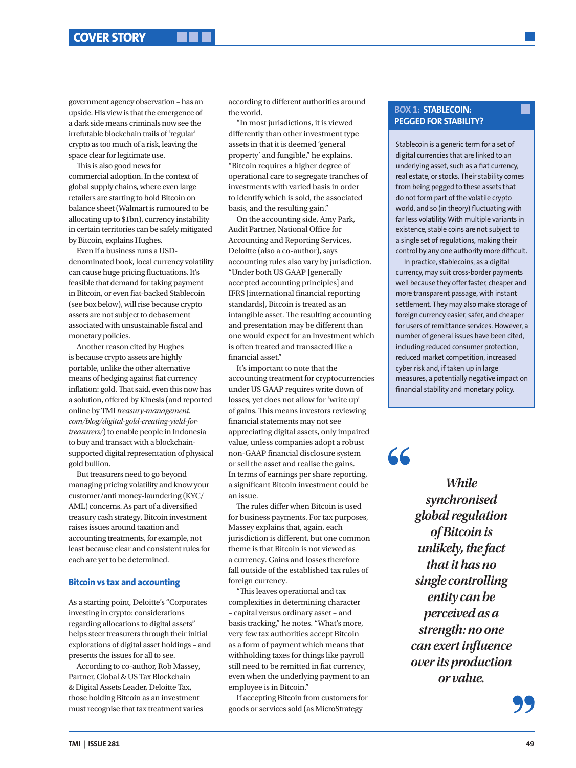government agency observation – has an upside. His view is that the emergence of a dark side means criminals now see the irrefutable blockchain trails of 'regular' crypto as too much of a risk, leaving the space clear for legitimate use.

This is also good news for commercial adoption. In the context of global supply chains, where even large retailers are starting to hold Bitcoin on balance sheet (Walmart is rumoured to be allocating up to \$1bn), currency instability in certain territories can be safely mitigated by Bitcoin, explains Hughes.

Even if a business runs a USDdenominated book, local currency volatility can cause huge pricing fluctuations. It's feasible that demand for taking payment in Bitcoin, or even fiat-backed Stablecoin (see box below), will rise because crypto assets are not subject to debasement associated with unsustainable fiscal and monetary policies.

Another reason cited by Hughes is because crypto assets are highly portable, unlike the other alternative means of hedging against fiat currency inflation: gold. That said, even this now has a solution, offered by Kinesis (and reported online by TMI *treasury-management. com/blog/digital-gold-creating-yield-fortreasurers/*) to enable people in Indonesia to buy and transact with a blockchainsupported digital representation of physical gold bullion.

But treasurers need to go beyond managing pricing volatility and know your customer/anti money-laundering (KYC/ AML) concerns. As part of a diversified treasury cash strategy, Bitcoin investment raises issues around taxation and accounting treatments, for example, not least because clear and consistent rules for each are yet to be determined.

#### **Bitcoin vs tax and accounting**

As a starting point, Deloitte's "Corporates investing in crypto: considerations regarding allocations to digital assets" helps steer treasurers through their initial explorations of digital asset holdings – and presents the issues for all to see.

According to co-author, Rob Massey, Partner, Global & US Tax Blockchain & Digital Assets Leader, Deloitte Tax, those holding Bitcoin as an investment must recognise that tax treatment varies according to different authorities around the world.

"In most jurisdictions, it is viewed differently than other investment type assets in that it is deemed 'general property' and fungible," he explains. "Bitcoin requires a higher degree of operational care to segregate tranches of investments with varied basis in order to identify which is sold, the associated basis, and the resulting gain."

On the accounting side, Amy Park, Audit Partner, National Office for Accounting and Reporting Services, Deloitte (also a co-author), says accounting rules also vary by jurisdiction. "Under both US GAAP [generally accepted accounting principles] and IFRS [international financial reporting standards], Bitcoin is treated as an intangible asset. The resulting accounting and presentation may be different than one would expect for an investment which is often treated and transacted like a financial asset."

It's important to note that the accounting treatment for cryptocurrencies under US GAAP requires write down of losses, yet does not allow for 'write up' of gains. This means investors reviewing financial statements may not see appreciating digital assets, only impaired value, unless companies adopt a robust non-GAAP financial disclosure system or sell the asset and realise the gains. In terms of earnings per share reporting, a significant Bitcoin investment could be an issue.

The rules differ when Bitcoin is used for business payments. For tax purposes, Massey explains that, again, each jurisdiction is different, but one common theme is that Bitcoin is not viewed as a currency. Gains and losses therefore fall outside of the established tax rules of foreign currency.

"This leaves operational and tax complexities in determining character – capital versus ordinary asset – and basis tracking," he notes. "What's more, very few tax authorities accept Bitcoin as a form of payment which means that withholding taxes for things like payroll still need to be remitted in fiat currency, even when the underlying payment to an employee is in Bitcoin."

If accepting Bitcoin from customers for goods or services sold (as MicroStrategy

# **BOX 1: STABLECOIN: PEGGED FOR STABILITY?**

Stablecoin is a generic term for a set of digital currencies that are linked to an underlying asset, such as a fiat currency, real estate, or stocks. Their stability comes from being pegged to these assets that do not form part of the volatile crypto world, and so (in theory) fluctuating with far less volatility. With multiple variants in existence, stable coins are not subject to a single set of regulations, making their control by any one authority more difficult.

In practice, stablecoins, as a digital currency, may suit cross-border payments well because they offer faster, cheaper and more transparent passage, with instant settlement. They may also make storage of foreign currency easier, safer, and cheaper for users of remittance services. However, a number of general issues have been cited, including reduced consumer protection, reduced market competition, increased cyber risk and, if taken up in large measures, a potentially negative impact on financial stability and monetary policy.

66

*While synchronised global regulation of Bitcoin is unlikely, the fact that it has no single controlling entity can be perceived as a strength: no one can exert influence over its production or value.*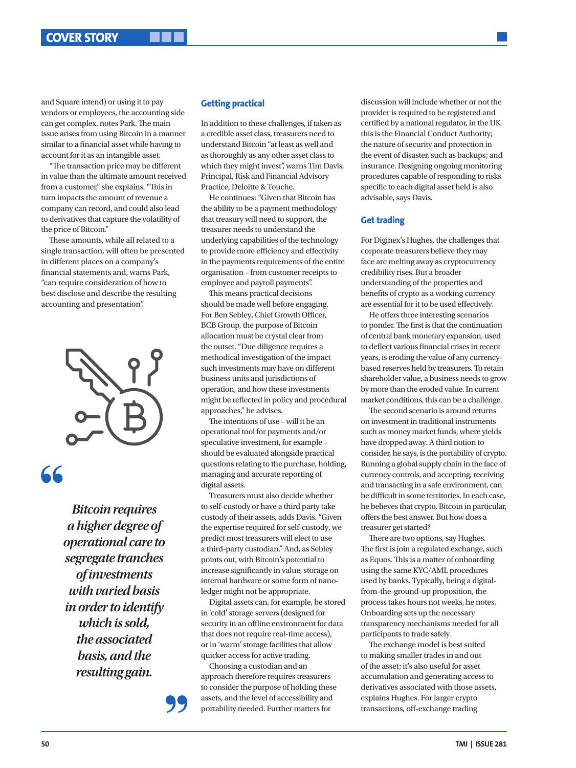and Square intend) or using it to pay vendors or employees, the accounting side can get complex, notes Park. The main issue arises from using Bitcoin in a manner similar to a financial asset while having to account for it as an intangible asset.

"The transaction price may be different in value than the ultimate amount received from a customer," she explains. "This in turn impacts the amount of revenue a company can record, and could also lead to derivatives that capture the volatility of the price of Bitcoin."

These amounts, while all related to a single transaction, will often be presented in different places on a company's financial statements and, warns Park, "can require consideration of how to best disclose and describe the resulting accounting and presentation".



*Bitcoin requires a higher degree of operational care to segregate tranches of investments with varied basis in order to identify which is sold, the associated basis, and the resulting gain.*

#### **Getting practical**

In addition to these challenges, if taken as a credible asset class, treasurers need to understand Bitcoin "at least as well and as thoroughly as any other asset class to which they might invest", warns Tim Davis, Principal, Risk and Financial Advisory Practice, Deloitte & Touche.

He continues: "Given that Bitcoin has the ability to be a payment methodology that treasury will need to support, the treasurer needs to understand the underlying capabilities of the technology to provide more efficiency and effectivity in the payments requirements of the entire organisation – from customer receipts to employee and payroll payments".

This means practical decisions should be made well before engaging. For Ben Sebley, Chief Growth Officer, BCB Group, the purpose of Bitcoin allocation must be crystal clear from the outset. "Due diligence requires a methodical investigation of the impact such investments may have on different business units and jurisdictions of operation, and how these investments might be reflected in policy and procedural approaches," he advises.

The intentions of use – will it be an operational tool for payments and/or speculative investment, for example – should be evaluated alongside practical questions relating to the purchase, holding, managing and accurate reporting of digital assets.

Treasurers must also decide whether to self-custody or have a third party take custody of their assets, adds Davis. "Given the expertise required for self-custody, we predict most treasurers will elect to use a third-party custodian." And, as Sebley points out, with Bitcoin's potential to increase significantly in value, storage on internal hardware or some form of nanoledger might not be appropriate.

Digital assets can, for example, be stored in 'cold' storage servers (designed for security in an offline environment for data that does not require real-time access), or in 'warm' storage facilities that allow quicker access for active trading.

Choosing a custodian and an approach therefore requires treasurers to consider the purpose of holding these assets, and the level of accessibility and portability needed. Further matters for

discussion will include whether or not the provider is required to be registered and certified by a national regulator, in the UK this is the Financial Conduct Authority; the nature of security and protection in the event of disaster, such as backups; and insurance. Designing ongoing monitoring procedures capable of responding to risks specific to each digital asset held is also advisable, says Davis.

#### **Get trading**

For Diginex's Hughes, the challenges that corporate treasurers believe they may face are melting away as cryptocurrency credibility rises. But a broader understanding of the properties and benefits of crypto as a working currency are essential for it to be used effectively.

He offers three interesting scenarios to ponder. The first is that the continuation of central bank monetary expansion, used to deflect various financial crises in recent years, is eroding the value of any currencybased reserves held by treasurers. To retain shareholder value, a business needs to grow by more than the eroded value. In current market conditions, this can be a challenge.

The second scenario is around returns on investment in traditional instruments such as money market funds, where yields have dropped away. A third notion to consider, he says, is the portability of crypto. Running a global supply chain in the face of currency controls, and accepting, receiving and transacting in a safe environment, can be difficult in some territories. In each case, he believes that crypto, Bitcoin in particular, offers the best answer. But how does a treasurer get started?

There are two options, say Hughes. The first is join a regulated exchange, such as Equos. This is a matter of onboarding using the same KYC/AML procedures used by banks. Typically, being a digitalfrom-the-ground-up proposition, the process takes hours not weeks, he notes. Onboarding sets up the necessary transparency mechanisms needed for all participants to trade safely.

The exchange model is best suited to making smaller trades in and out of the asset; it's also useful for asset accumulation and generating access to derivatives associated with those assets, explains Hughes. For larger crypto transactions, off-exchange trading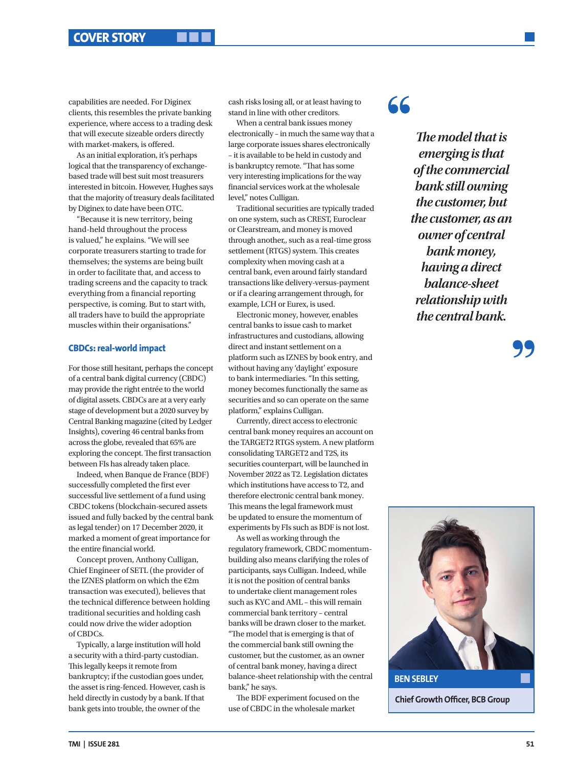capabilities are needed. For Diginex clients, this resembles the private banking experience, where access to a trading desk that will execute sizeable orders directly with market-makers, is offered.

As an initial exploration, it's perhaps logical that the transparency of exchangebased trade will best suit most treasurers interested in bitcoin. However, Hughes says that the majority of treasury deals facilitated by Diginex to date have been OTC.

"Because it is new territory, being hand-held throughout the process is valued," he explains. "We will see corporate treasurers starting to trade for themselves; the systems are being built in order to facilitate that, and access to trading screens and the capacity to track everything from a financial reporting perspective, is coming. But to start with, all traders have to build the appropriate muscles within their organisations."

# **CBDCs: real-world impact**

For those still hesitant, perhaps the concept of a central bank digital currency (CBDC) may provide the right entrée to the world of digital assets. CBDCs are at a very early stage of development but a 2020 survey by Central Banking magazine (cited by Ledger Insights), covering 46 central banks from across the globe, revealed that 65% are exploring the concept. The first transaction between FIs has already taken place.

Indeed, when Banque de France (BDF) successfully completed the first ever successful live settlement of a fund using CBDC tokens (blockchain-secured assets issued and fully backed by the central bank as legal tender) on 17 December 2020, it marked a moment of great importance for the entire financial world.

Concept proven, Anthony Culligan, Chief Engineer of SETL (the provider of the IZNES platform on which the €2m transaction was executed), believes that the technical difference between holding traditional securities and holding cash could now drive the wider adoption of CBDCs.

Typically, a large institution will hold a security with a third-party custodian. This legally keeps it remote from bankruptcy; if the custodian goes under, the asset is ring-fenced. However, cash is held directly in custody by a bank. If that bank gets into trouble, the owner of the

cash risks losing all, or at least having to stand in line with other creditors.

When a central bank issues money electronically – in much the same way that a large corporate issues shares electronically – it is available to be held in custody and is bankruptcy remote. "That has some very interesting implications for the way financial services work at the wholesale level," notes Culligan.

Traditional securities are typically traded on one system, such as CREST, Euroclear or Clearstream, and money is moved through another,, such as a real-time gross settlement (RTGS) system. This creates complexity when moving cash at a central bank, even around fairly standard transactions like delivery-versus-payment or if a clearing arrangement through, for example, LCH or Eurex, is used.

Electronic money, however, enables central banks to issue cash to market infrastructures and custodians, allowing direct and instant settlement on a platform such as IZNES by book entry, and without having any 'daylight' exposure to bank intermediaries. "In this setting, money becomes functionally the same as securities and so can operate on the same platform," explains Culligan.

Currently, direct access to electronic central bank money requires an account on the TARGET2 RTGS system. A new platform consolidating TARGET2 and T2S, its securities counterpart, will be launched in November 2022 as T2. Legislation dictates which institutions have access to T2, and therefore electronic central bank money. This means the legal framework must be updated to ensure the momentum of experiments by FIs such as BDF is not lost.

As well as working through the regulatory framework, CBDC momentumbuilding also means clarifying the roles of participants, says Culligan. Indeed, while it is not the position of central banks to undertake client management roles such as KYC and AML – this will remain commercial bank territory – central banks will be drawn closer to the market. "The model that is emerging is that of the commercial bank still owning the customer, but the customer, as an owner of central bank money, having a direct balance-sheet relationship with the central bank," he says.

The BDF experiment focused on the use of CBDC in the wholesale market

66

*The model that is emerging is that of the commercial bank still owning the customer, but the customer, as an owner of central bank money, having a direct balance-sheet relationship with the central bank.*